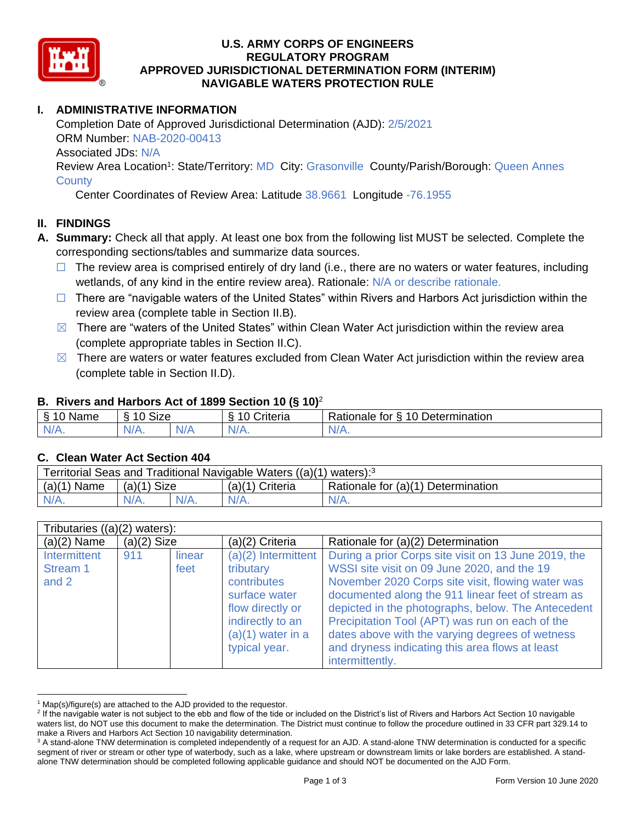

### **U.S. ARMY CORPS OF ENGINEERS REGULATORY PROGRAM APPROVED JURISDICTIONAL DETERMINATION FORM (INTERIM) NAVIGABLE WATERS PROTECTION RULE**

# **I. ADMINISTRATIVE INFORMATION**

Completion Date of Approved Jurisdictional Determination (AJD): 2/5/2021 ORM Number: NAB-2020-00413 Associated JDs: N/A Review Area Location<sup>1</sup>: State/Territory: MD City: Grasonville County/Parish/Borough: Queen Annes

**County** 

Center Coordinates of Review Area: Latitude 38.9661 Longitude -76.1955

### **II. FINDINGS**

- **A. Summary:** Check all that apply. At least one box from the following list MUST be selected. Complete the corresponding sections/tables and summarize data sources.
	- $\Box$  The review area is comprised entirely of dry land (i.e., there are no waters or water features, including wetlands, of any kind in the entire review area). Rationale: N/A or describe rationale.
	- $\Box$  There are "navigable waters of the United States" within Rivers and Harbors Act jurisdiction within the review area (complete table in Section II.B).
	- $\boxtimes$  There are "waters of the United States" within Clean Water Act jurisdiction within the review area (complete appropriate tables in Section II.C).
	- $\boxtimes$  There are waters or water features excluded from Clean Water Act jurisdiction within the review area (complete table in Section II.D).

#### **B. Rivers and Harbors Act of 1899 Section 10 (§ 10)**<sup>2</sup>

| Name                | $\sim$<br>$\Lambda$ $\Lambda$<br>SIZE<br>$\tilde{\phantom{a}}$ |        | triteria | 10 Determination<br>Rationale<br>tor<br>∼ |
|---------------------|----------------------------------------------------------------|--------|----------|-------------------------------------------|
| N <sub>L</sub><br>. | $N/A$ .                                                        | M<br>. | N/f      | Nz<br><b>MII.</b>                         |

#### **C. Clean Water Act Section 404**

| Territorial Seas and Traditional Navigable Waters ((a)(1) waters): <sup>3</sup> |               |  |                   |                                    |  |
|---------------------------------------------------------------------------------|---------------|--|-------------------|------------------------------------|--|
| $(a)(1)$ Name                                                                   | $(a)(1)$ Size |  | $(a)(1)$ Criteria | Rationale for (a)(1) Determination |  |
|                                                                                 | $N/A$ .       |  | $N/A$ .           | $N/A$ .                            |  |

| Tributaries $((a)(2)$ waters):    |               |                |                                                                                                                                                    |                                                                                                                                                                                                                                                                                                                                                                                                                                                 |  |
|-----------------------------------|---------------|----------------|----------------------------------------------------------------------------------------------------------------------------------------------------|-------------------------------------------------------------------------------------------------------------------------------------------------------------------------------------------------------------------------------------------------------------------------------------------------------------------------------------------------------------------------------------------------------------------------------------------------|--|
| $(a)(2)$ Name                     | $(a)(2)$ Size |                | (a)(2) Criteria                                                                                                                                    | Rationale for (a)(2) Determination                                                                                                                                                                                                                                                                                                                                                                                                              |  |
| Intermittent<br>Stream 1<br>and 2 | 911           | linear<br>feet | $(a)(2)$ Intermittent<br>tributary<br>contributes<br>surface water<br>flow directly or<br>indirectly to an<br>$(a)(1)$ water in a<br>typical year. | During a prior Corps site visit on 13 June 2019, the<br>WSSI site visit on 09 June 2020, and the 19<br>November 2020 Corps site visit, flowing water was<br>documented along the 911 linear feet of stream as<br>depicted in the photographs, below. The Antecedent<br>Precipitation Tool (APT) was run on each of the<br>dates above with the varying degrees of wetness<br>and dryness indicating this area flows at least<br>intermittently. |  |

 $1$  Map(s)/figure(s) are attached to the AJD provided to the requestor.

<sup>&</sup>lt;sup>2</sup> If the navigable water is not subject to the ebb and flow of the tide or included on the District's list of Rivers and Harbors Act Section 10 navigable waters list, do NOT use this document to make the determination. The District must continue to follow the procedure outlined in 33 CFR part 329.14 to make a Rivers and Harbors Act Section 10 navigability determination.

<sup>&</sup>lt;sup>3</sup> A stand-alone TNW determination is completed independently of a request for an AJD. A stand-alone TNW determination is conducted for a specific segment of river or stream or other type of waterbody, such as a lake, where upstream or downstream limits or lake borders are established. A standalone TNW determination should be completed following applicable guidance and should NOT be documented on the AJD Form.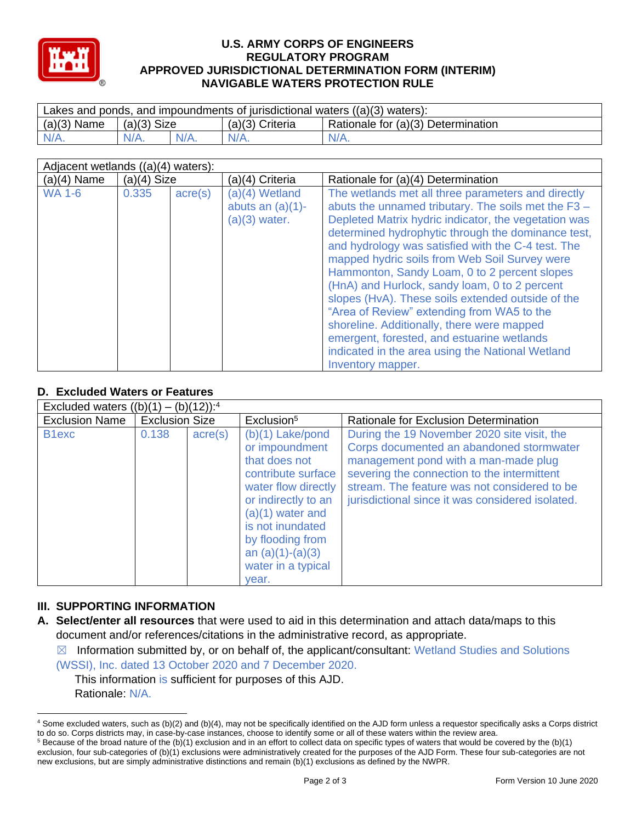

#### **U.S. ARMY CORPS OF ENGINEERS REGULATORY PROGRAM APPROVED JURISDICTIONAL DETERMINATION FORM (INTERIM) NAVIGABLE WATERS PROTECTION RULE**

| Lakes and ponds, and impoundments of jurisdictional waters $((a)(3)$ waters): |               |  |                   |                                    |  |
|-------------------------------------------------------------------------------|---------------|--|-------------------|------------------------------------|--|
| $(a)(3)$ Name                                                                 | $(a)(3)$ Size |  | $(a)(3)$ Criteria | Rationale for (a)(3) Determination |  |
| $N/A$ .                                                                       | $N/A$ .       |  | $N/A$ .           | $N/A$ .                            |  |

| Adjacent wetlands $((a)(4)$ waters): |               |                  |                                                          |                                                                                                                                                                                                                                                                                                                                                                                                                                                                                                                                                                                                                                                                                                         |  |
|--------------------------------------|---------------|------------------|----------------------------------------------------------|---------------------------------------------------------------------------------------------------------------------------------------------------------------------------------------------------------------------------------------------------------------------------------------------------------------------------------------------------------------------------------------------------------------------------------------------------------------------------------------------------------------------------------------------------------------------------------------------------------------------------------------------------------------------------------------------------------|--|
| $(a)(4)$ Name                        | $(a)(4)$ Size |                  | (a)(4) Criteria                                          | Rationale for (a)(4) Determination                                                                                                                                                                                                                                                                                                                                                                                                                                                                                                                                                                                                                                                                      |  |
| <b>WA 1-6</b>                        | 0.335         | $\text{acre}(s)$ | (a)(4) Wetland<br>abuts an $(a)(1)$ -<br>$(a)(3)$ water. | The wetlands met all three parameters and directly<br>abuts the unnamed tributary. The soils met the F3 -<br>Depleted Matrix hydric indicator, the vegetation was<br>determined hydrophytic through the dominance test,<br>and hydrology was satisfied with the C-4 test. The<br>mapped hydric soils from Web Soil Survey were<br>Hammonton, Sandy Loam, 0 to 2 percent slopes<br>(HnA) and Hurlock, sandy loam, 0 to 2 percent<br>slopes (HvA). These soils extended outside of the<br>"Area of Review" extending from WA5 to the<br>shoreline. Additionally, there were mapped<br>emergent, forested, and estuarine wetlands<br>indicated in the area using the National Wetland<br>Inventory mapper. |  |

# **D. Excluded Waters or Features**

| Excluded waters $((b)(1) - (b)(12))$ : <sup>4</sup> |                       |                  |                                                                                                                                                                                                                                              |                                                                                                                                                                                                                                                                                    |  |
|-----------------------------------------------------|-----------------------|------------------|----------------------------------------------------------------------------------------------------------------------------------------------------------------------------------------------------------------------------------------------|------------------------------------------------------------------------------------------------------------------------------------------------------------------------------------------------------------------------------------------------------------------------------------|--|
| <b>Exclusion Name</b>                               | <b>Exclusion Size</b> |                  | Exclusion <sup>5</sup>                                                                                                                                                                                                                       | Rationale for Exclusion Determination                                                                                                                                                                                                                                              |  |
| B <sub>1</sub> exc                                  | 0.138                 | $\text{acre}(s)$ | $(b)(1)$ Lake/pond<br>or impoundment<br>that does not<br>contribute surface<br>water flow directly<br>or indirectly to an<br>$(a)(1)$ water and<br>is not inundated<br>by flooding from<br>an $(a)(1)-(a)(3)$<br>water in a typical<br>year. | During the 19 November 2020 site visit, the<br>Corps documented an abandoned stormwater<br>management pond with a man-made plug<br>severing the connection to the intermittent<br>stream. The feature was not considered to be<br>jurisdictional since it was considered isolated. |  |

# **III. SUPPORTING INFORMATION**

**A. Select/enter all resources** that were used to aid in this determination and attach data/maps to this document and/or references/citations in the administrative record, as appropriate.

 $\boxtimes$  Information submitted by, or on behalf of, the applicant/consultant: Wetland Studies and Solutions

(WSSI), Inc. dated 13 October 2020 and 7 December 2020. This information is sufficient for purposes of this AJD. Rationale: N/A.

<sup>4</sup> Some excluded waters, such as (b)(2) and (b)(4), may not be specifically identified on the AJD form unless a requestor specifically asks a Corps district to do so. Corps districts may, in case-by-case instances, choose to identify some or all of these waters within the review area.

 $5$  Because of the broad nature of the (b)(1) exclusion and in an effort to collect data on specific types of waters that would be covered by the (b)(1) exclusion, four sub-categories of (b)(1) exclusions were administratively created for the purposes of the AJD Form. These four sub-categories are not new exclusions, but are simply administrative distinctions and remain (b)(1) exclusions as defined by the NWPR.